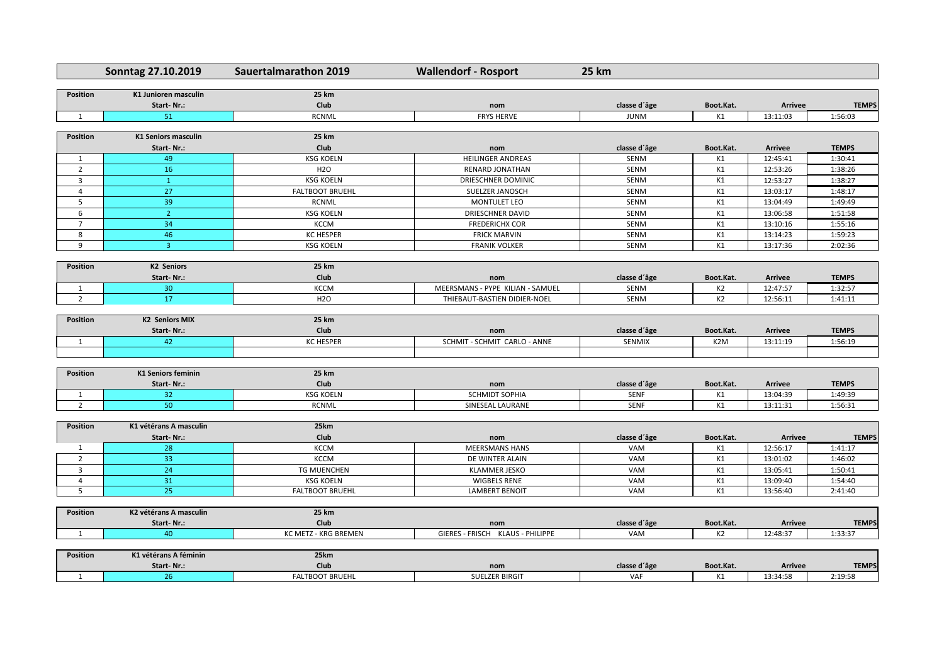|                 | Sonntag 27.10.2019          | <b>Sauertalmarathon 2019</b>          | <b>Wallendorf - Rosport</b>         | <b>25 km</b> |                  |                |              |
|-----------------|-----------------------------|---------------------------------------|-------------------------------------|--------------|------------------|----------------|--------------|
| <b>Position</b> | <b>K1 Junioren masculin</b> | <b>25 km</b>                          |                                     |              |                  |                |              |
|                 | Start-Nr.:                  | <b>Club</b>                           | nom                                 | classe d'âge | Boot.Kat.        | <b>Arrivee</b> | <b>TEMPS</b> |
| 1               | 51                          | <b>RCNML</b>                          | <b>FRYS HERVE</b>                   | <b>JUNM</b>  | K1               | 13:11:03       | 1:56:03      |
|                 |                             |                                       |                                     |              |                  |                |              |
| <b>Position</b> | <b>K1 Seniors masculin</b>  | <b>25 km</b>                          |                                     |              |                  |                |              |
|                 | Start-Nr.:                  | <b>Club</b>                           | nom                                 | classe d'âge | Boot.Kat.        | <b>Arrivee</b> | <b>TEMPS</b> |
| 1               | 49                          | <b>KSG KOELN</b>                      | <b>HEILINGER ANDREAS</b>            | <b>SENM</b>  | K1               | 12:45:41       | 1:30:41      |
| $\overline{2}$  | 16                          | <b>H2O</b>                            | <b>RENARD JONATHAN</b>              | SENM         | K1               | 12:53:26       | 1:38:26      |
| $\mathbf{3}$    | $\mathbf{1}$                | <b>KSG KOELN</b>                      | DRIESCHNER DOMINIC                  | SENM         | K1               | 12:53:27       | 1:38:27      |
| 4               | 27                          | <b>FALTBOOT BRUEHL</b>                | SUELZER JANOSCH                     | SENM         | K1               | 13:03:17       | 1:48:17      |
| 5               | 39                          | <b>RCNML</b>                          | <b>MONTULET LEO</b>                 | SENM         | K1               | 13:04:49       | 1:49:49      |
| 6               | $\overline{2}$              | <b>KSG KOELN</b>                      | <b>DRIESCHNER DAVID</b>             | SENM         | K1               | 13:06:58       | 1:51:58      |
| $\overline{7}$  | 34                          | <b>KCCM</b>                           | <b>FREDERICHX COR</b>               | SENM         | K1               | 13:10:16       | 1:55:16      |
| 8               | 46                          | <b>KC HESPER</b>                      | <b>FRICK MARVIN</b>                 | SENM         | K1               | 13:14:23       | 1:59:23      |
| 9               | $\mathbf{3}$                | <b>KSG KOELN</b>                      | <b>FRANIK VOLKER</b>                | SENM         | K1               | 13:17:36       | 2:02:36      |
|                 |                             |                                       |                                     |              |                  |                |              |
| <b>Position</b> | <b>K2 Seniors</b>           | <b>25 km</b>                          |                                     |              |                  |                |              |
|                 | Start-Nr.:                  | Club                                  | nom                                 | classe d'âge | Boot.Kat.        | <b>Arrivee</b> | <b>TEMPS</b> |
| <sup>-</sup> 1  | 30 <sub>o</sub>             | <b>KCCM</b>                           | MEERSMANS - PYPE KILIAN - SAMUEL    | <b>SENM</b>  | K <sub>2</sub>   | 12:47:57       | 1:32:57      |
| $\overline{2}$  | 17                          | <b>H2O</b>                            | THIEBAUT-BASTIEN DIDIER-NOEL        | <b>SENM</b>  | K2               | 12:56:11       | 1:41:11      |
| <b>Position</b> | <b>K2 Seniors MIX</b>       | <b>25 km</b>                          |                                     |              |                  |                |              |
|                 | Start-Nr.:                  | <b>Club</b>                           |                                     | classe d'âge | Boot.Kat.        | <b>Arrivee</b> | <b>TEMPS</b> |
|                 |                             | <b>KC HESPER</b>                      | nom<br>SCHMIT - SCHMIT CARLO - ANNE | SENMIX       | K <sub>2</sub> M | 13:11:19       |              |
| 1               | 42                          |                                       |                                     |              |                  |                | 1:56:19      |
|                 |                             |                                       |                                     |              |                  |                |              |
| <b>Position</b> | <b>K1 Seniors feminin</b>   | <b>25 km</b>                          |                                     |              |                  |                |              |
|                 | Start-Nr.:                  | Club                                  | nom                                 | classe d'âge | Boot.Kat.        | <b>Arrivee</b> | <b>TEMPS</b> |
| 1               | 32 <sup>°</sup>             | <b>KSG KOELN</b>                      | <b>SCHMIDT SOPHIA</b>               | <b>SENF</b>  | K1               | 13:04:39       | 1:49:39      |
| $\overline{2}$  | 50                          | <b>RCNML</b>                          | SINESEAL LAURANE                    | <b>SENF</b>  | K1               | 13:11:31       | 1:56:31      |
|                 |                             |                                       |                                     |              |                  |                |              |
| <b>Position</b> | K1 vétérans A masculin      | 25km                                  |                                     |              |                  |                |              |
|                 | Start-Nr.:                  | <b>Club</b>                           | nom                                 | classe d'âge | Boot.Kat.        | <b>Arrivee</b> | <b>TEMPS</b> |
| 1               | 28                          | <b>KCCM</b>                           | <b>MEERSMANS HANS</b>               | VAM          | K1               | 12:56:17       | 1:41:17      |
| $\overline{2}$  | 33                          | <b>KCCM</b>                           | DE WINTER ALAIN                     | VAM          | K1               | 13:01:02       | 1:46:02      |
| $\mathbf{3}$    | 24                          | <b>TG MUENCHEN</b>                    | <b>KLAMMER JESKO</b>                | VAM          | K1               | 13:05:41       | 1:50:41      |
| $\overline{4}$  | 31                          | <b>KSG KOELN</b>                      | <b>WIGBELS RENE</b>                 | VAM          | K1               | 13:09:40       | 1:54:40      |
| 5               | 25                          | <b>FALTBOOT BRUEHL</b>                | <b>LAMBERT BENOIT</b>               | VAM          | K1               | 13:56:40       | 2:41:40      |
|                 |                             |                                       |                                     |              |                  |                |              |
| <b>Position</b> | K2 vétérans A masculin      | <b>25 km</b>                          |                                     |              |                  |                |              |
|                 | Start-Nr.:                  | <b>Club</b>                           | nom                                 | classe d'âge | Boot.Kat.        | <b>Arrivee</b> | <b>TEMPS</b> |
|                 | 40                          | KC METZ - KRG BREMEN                  | GIERES - FRISCH KLAUS - PHILIPPE    | VAM          | K2               | 12:48:37       | 1:33:37      |
|                 | K1 vétérans A féminin       |                                       |                                     |              |                  |                |              |
| <b>Position</b> |                             | 25km                                  |                                     |              |                  |                |              |
|                 | Start-Nr.:<br>26            | <b>Club</b><br><b>FALTBOOT BRUEHL</b> | nom<br><b>SUELZER BIRGIT</b>        | classe d'âge | Boot.Kat.        | <b>Arrivee</b> | <b>TEMPS</b> |
|                 |                             |                                       |                                     | VAF          | K1               | 13:34:58       | 2:19:58      |